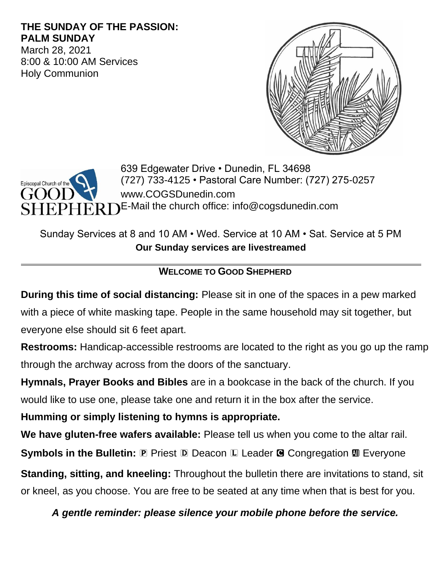# **THE SUNDAY OF THE PASSION: PALM SUNDAY**

March 28, 2021 8:00 & 10:00 AM Services Holy Communion





639 Edgewater Drive • Dunedin, FL 34698 (727) 733-4125 • Pastoral Care Number: (727) 275-0257 www.COGSDunedin.com  $\bar{R} \mathbf{R} \mathbf{D}$ E-Mail the church office: info@cogsdunedin.com

Sunday Services at 8 and 10 AM • Wed. Service at 10 AM • Sat. Service at 5 PM **Our Sunday services are livestreamed**

# **WELCOME TO GOOD SHEPHERD**

**During this time of social distancing:** Please sit in one of the spaces in a pew marked with a piece of white masking tape. People in the same household may sit together, but everyone else should sit 6 feet apart.

**Restrooms:** Handicap-accessible restrooms are located to the right as you go up the ramp through the archway across from the doors of the sanctuary.

**Hymnals, Prayer Books and Bibles** are in a bookcase in the back of the church. If you would like to use one, please take one and return it in the box after the service.

**Humming or simply listening to hymns is appropriate.**

**We have gluten-free wafers available:** Please tell us when you come to the altar rail.

**Symbols in the Bulletin: P** Priest **D** Deacon **L** Leader **G** Congregation **M** Everyone

**Standing, sitting, and kneeling:** Throughout the bulletin there are invitations to stand, sit or kneel, as you choose. You are free to be seated at any time when that is best for you.

*A gentle reminder: please silence your mobile phone before the service.*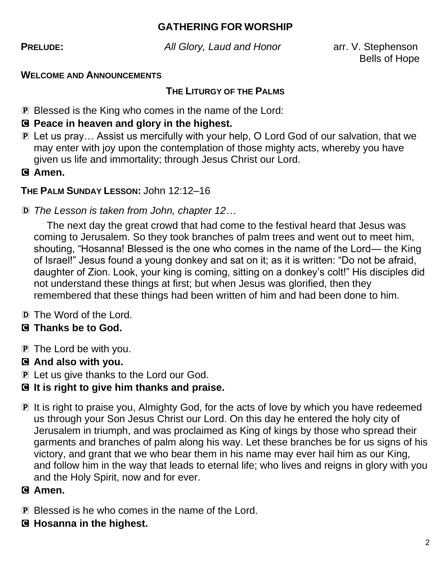# **GATHERING FOR WORSHIP**

**PRELUDE:** *All Glory, Laud and Honor* arr. V. Stephenson

Bells of Hope

#### **WELCOME AND ANNOUNCEMENTS**

#### **THE LITURGY OF THE PALMS**

P Blessed is the King who comes in the name of the Lord:

# C **Peace in heaven and glory in the highest.**

- P Let us pray… Assist us mercifully with your help, O Lord God of our salvation, that we may enter with joy upon the contemplation of those mighty acts, whereby you have given us life and immortality; through Jesus Christ our Lord.
- C **Amen.**

# **THE PALM SUNDAY LESSON:** John 12:12–16

D *The Lesson is taken from John, chapter 12…*

The next day the great crowd that had come to the festival heard that Jesus was coming to Jerusalem. So they took branches of palm trees and went out to meet him, shouting, "Hosanna! Blessed is the one who comes in the name of the Lord— the King of Israel!" Jesus found a young donkey and sat on it; as it is written: "Do not be afraid, daughter of Zion. Look, your king is coming, sitting on a donkey's colt!" His disciples did not understand these things at first; but when Jesus was glorified, then they remembered that these things had been written of him and had been done to him.

D The Word of the Lord.

# C **Thanks be to God.**

- P The Lord be with you.
- C **And also with you.**
- P Let us give thanks to the Lord our God.
- C **It is right to give him thanks and praise.**
- P It is right to praise you, Almighty God, for the acts of love by which you have redeemed us through your Son Jesus Christ our Lord. On this day he entered the holy city of Jerusalem in triumph, and was proclaimed as King of kings by those who spread their garments and branches of palm along his way. Let these branches be for us signs of his victory, and grant that we who bear them in his name may ever hail him as our King, and follow him in the way that leads to eternal life; who lives and reigns in glory with you and the Holy Spirit, now and for ever.
- C **Amen.**
- P Blessed is he who comes in the name of the Lord.
- C **Hosanna in the highest.**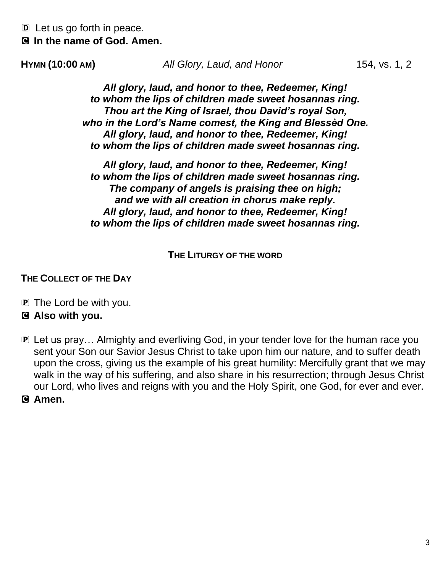D Let us go forth in peace.

#### C **In the name of God. Amen.**

*All glory, laud, and honor to thee, Redeemer, King! to whom the lips of children made sweet hosannas ring. Thou art the King of Israel, thou David's royal Son, who in the Lord's Name comest, the King and Blessèd One. All glory, laud, and honor to thee, Redeemer, King! to whom the lips of children made sweet hosannas ring.*

*All glory, laud, and honor to thee, Redeemer, King! to whom the lips of children made sweet hosannas ring. The company of angels is praising thee on high; and we with all creation in chorus make reply. All glory, laud, and honor to thee, Redeemer, King! to whom the lips of children made sweet hosannas ring.*

#### **THE LITURGY OF THE WORD**

#### **THE COLLECT OF THE DAY**

- P The Lord be with you.
- C **Also with you.**
- **P** Let us pray... Almighty and everliving God, in your tender love for the human race you sent your Son our Savior Jesus Christ to take upon him our nature, and to suffer death upon the cross, giving us the example of his great humility: Mercifully grant that we may walk in the way of his suffering, and also share in his resurrection; through Jesus Christ our Lord, who lives and reigns with you and the Holy Spirit, one God, for ever and ever.
- C **Amen.**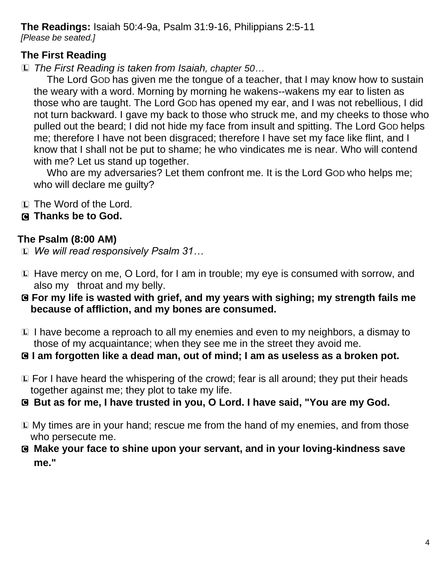# **The Readings:** Isaiah 50:4-9a, Psalm 31:9-16, Philippians 2:5-11

*[Please be seated.]*

# **The First Reading**

L *The First Reading is taken from Isaiah, chapter 50…*

The Lord GOD has given me the tongue of a teacher, that I may know how to sustain the weary with a word. Morning by morning he wakens--wakens my ear to listen as those who are taught. The Lord GOD has opened my ear, and I was not rebellious, I did not turn backward. I gave my back to those who struck me, and my cheeks to those who pulled out the beard; I did not hide my face from insult and spitting. The Lord GOD helps me; therefore I have not been disgraced; therefore I have set my face like flint, and I know that I shall not be put to shame; he who vindicates me is near. Who will contend with me? Let us stand up together.

Who are my adversaries? Let them confront me. It is the Lord Gop who helps me; who will declare me guilty?

L The Word of the Lord.

C **Thanks be to God.**

# **The Psalm (8:00 AM)**

L *We will read responsively Psalm 31…*

- L Have mercy on me, O Lord, for I am in trouble; my eye is consumed with sorrow, and also my throat and my belly.
- C **For my life is wasted with grief, and my years with sighing; my strength fails me because of affliction, and my bones are consumed.**
- L I have become a reproach to all my enemies and even to my neighbors, a dismay to those of my acquaintance; when they see me in the street they avoid me.
- C **I am forgotten like a dead man, out of mind; I am as useless as a broken pot.**
- L For I have heard the whispering of the crowd; fear is all around; they put their heads together against me; they plot to take my life.
- C **But as for me, I have trusted in you, O Lord. I have said, "You are my God.**
- L My times are in your hand; rescue me from the hand of my enemies, and from those who persecute me.
- C **Make your face to shine upon your servant, and in your loving-kindness save me."**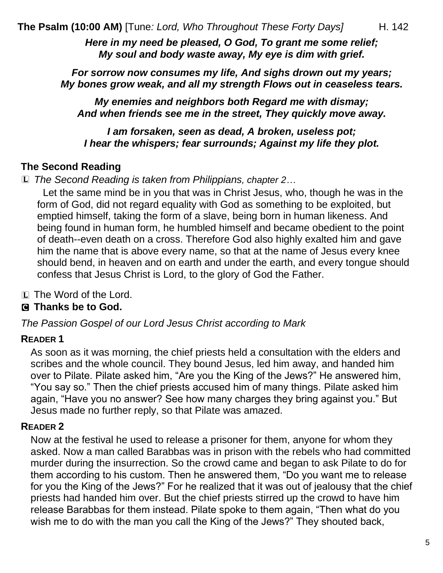*Here in my need be pleased, O God, To grant me some relief; My soul and body waste away, My eye is dim with grief.*

*For sorrow now consumes my life, And sighs drown out my years; My bones grow weak, and all my strength Flows out in ceaseless tears.*

*My enemies and neighbors both Regard me with dismay; And when friends see me in the street, They quickly move away.*

*I am forsaken, seen as dead, A broken, useless pot; I hear the whispers; fear surrounds; Against my life they plot.*

# **The Second Reading**

L *The Second Reading is taken from Philippians, chapter 2…*

 Let the same mind be in you that was in Christ Jesus, who, though he was in the form of God, did not regard equality with God as something to be exploited, but emptied himself, taking the form of a slave, being born in human likeness. And being found in human form, he humbled himself and became obedient to the point of death--even death on a cross. Therefore God also highly exalted him and gave him the name that is above every name, so that at the name of Jesus every knee should bend, in heaven and on earth and under the earth, and every tongue should confess that Jesus Christ is Lord, to the glory of God the Father.

L The Word of the Lord.

# C **Thanks be to God.**

*The Passion Gospel of our Lord Jesus Christ according to Mark*

#### **READER 1**

As soon as it was morning, the chief priests held a consultation with the elders and scribes and the whole council. They bound Jesus, led him away, and handed him over to Pilate. Pilate asked him, "Are you the King of the Jews?" He answered him, "You say so." Then the chief priests accused him of many things. Pilate asked him again, "Have you no answer? See how many charges they bring against you." But Jesus made no further reply, so that Pilate was amazed.

#### **READER 2**

Now at the festival he used to release a prisoner for them, anyone for whom they asked. Now a man called Barabbas was in prison with the rebels who had committed murder during the insurrection. So the crowd came and began to ask Pilate to do for them according to his custom. Then he answered them, "Do you want me to release for you the King of the Jews?" For he realized that it was out of jealousy that the chief priests had handed him over. But the chief priests stirred up the crowd to have him release Barabbas for them instead. Pilate spoke to them again, "Then what do you wish me to do with the man you call the King of the Jews?" They shouted back,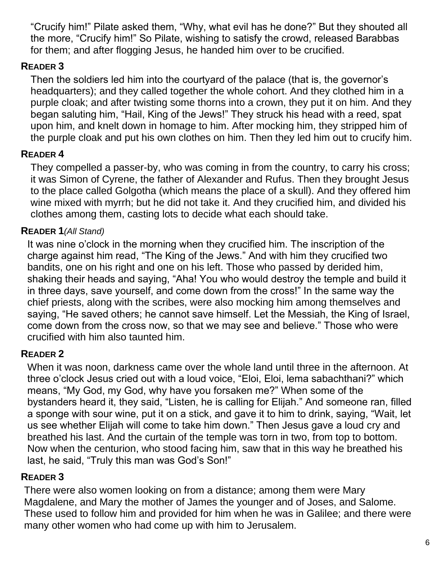"Crucify him!" Pilate asked them, "Why, what evil has he done?" But they shouted all the more, "Crucify him!" So Pilate, wishing to satisfy the crowd, released Barabbas for them; and after flogging Jesus, he handed him over to be crucified.

# **READER 3**

Then the soldiers led him into the courtyard of the palace (that is, the governor's headquarters); and they called together the whole cohort. And they clothed him in a purple cloak; and after twisting some thorns into a crown, they put it on him. And they began saluting him, "Hail, King of the Jews!" They struck his head with a reed, spat upon him, and knelt down in homage to him. After mocking him, they stripped him of the purple cloak and put his own clothes on him. Then they led him out to crucify him.

# **READER 4**

They compelled a passer-by, who was coming in from the country, to carry his cross; it was Simon of Cyrene, the father of Alexander and Rufus. Then they brought Jesus to the place called Golgotha (which means the place of a skull). And they offered him wine mixed with myrrh; but he did not take it. And they crucified him, and divided his clothes among them, casting lots to decide what each should take.

# **READER 1***(All Stand)*

It was nine o'clock in the morning when they crucified him. The inscription of the charge against him read, "The King of the Jews." And with him they crucified two bandits, one on his right and one on his left. Those who passed by derided him, shaking their heads and saying, "Aha! You who would destroy the temple and build it in three days, save yourself, and come down from the cross!" In the same way the chief priests, along with the scribes, were also mocking him among themselves and saying, "He saved others; he cannot save himself. Let the Messiah, the King of Israel, come down from the cross now, so that we may see and believe." Those who were crucified with him also taunted him.

# **READER 2**

When it was noon, darkness came over the whole land until three in the afternoon. At three o'clock Jesus cried out with a loud voice, "Eloi, Eloi, lema sabachthani?" which means, "My God, my God, why have you forsaken me?" When some of the bystanders heard it, they said, "Listen, he is calling for Elijah." And someone ran, filled a sponge with sour wine, put it on a stick, and gave it to him to drink, saying, "Wait, let us see whether Elijah will come to take him down." Then Jesus gave a loud cry and breathed his last. And the curtain of the temple was torn in two, from top to bottom. Now when the centurion, who stood facing him, saw that in this way he breathed his last, he said, "Truly this man was God's Son!"

# **READER 3**

There were also women looking on from a distance; among them were Mary Magdalene, and Mary the mother of James the younger and of Joses, and Salome. These used to follow him and provided for him when he was in Galilee; and there were many other women who had come up with him to Jerusalem.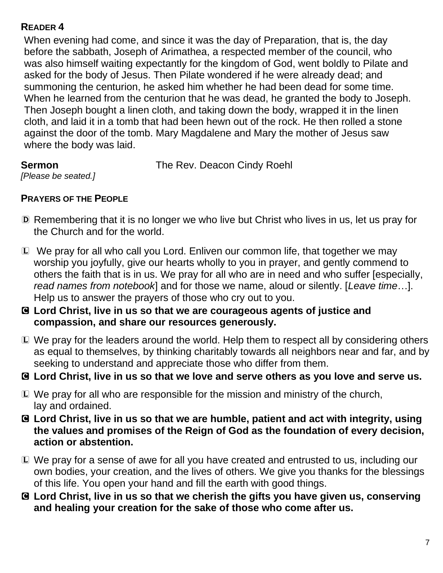# **READER 4**

When evening had come, and since it was the day of Preparation, that is, the day before the sabbath, Joseph of Arimathea, a respected member of the council, who was also himself waiting expectantly for the kingdom of God, went boldly to Pilate and asked for the body of Jesus. Then Pilate wondered if he were already dead; and summoning the centurion, he asked him whether he had been dead for some time. When he learned from the centurion that he was dead, he granted the body to Joseph. Then Joseph bought a linen cloth, and taking down the body, wrapped it in the linen cloth, and laid it in a tomb that had been hewn out of the rock. He then rolled a stone against the door of the tomb. Mary Magdalene and Mary the mother of Jesus saw where the body was laid.

*[Please be seated.]*

**Sermon** The Rev. Deacon Cindy Roehl

#### **PRAYERS OF THE PEOPLE**

- D Remembering that it is no longer we who live but Christ who lives in us, let us pray for the Church and for the world.
- L We pray for all who call you Lord. Enliven our common life, that together we may worship you joyfully, give our hearts wholly to you in prayer, and gently commend to others the faith that is in us. We pray for all who are in need and who suffer [especially, *read names from notebook*] and for those we name, aloud or silently. [*Leave time*…]. Help us to answer the prayers of those who cry out to you.
- C **Lord Christ, live in us so that we are courageous agents of justice and compassion, and share our resources generously.**
- L We pray for the leaders around the world. Help them to respect all by considering others as equal to themselves, by thinking charitably towards all neighbors near and far, and by seeking to understand and appreciate those who differ from them.
- C **Lord Christ, live in us so that we love and serve others as you love and serve us.**
- L We pray for all who are responsible for the mission and ministry of the church, lay and ordained.
- C **Lord Christ, live in us so that we are humble, patient and act with integrity, using the values and promises of the Reign of God as the foundation of every decision, action or abstention.**
- L We pray for a sense of awe for all you have created and entrusted to us, including our own bodies, your creation, and the lives of others. We give you thanks for the blessings of this life. You open your hand and fill the earth with good things.
- C **Lord Christ, live in us so that we cherish the gifts you have given us, conserving and healing your creation for the sake of those who come after us.**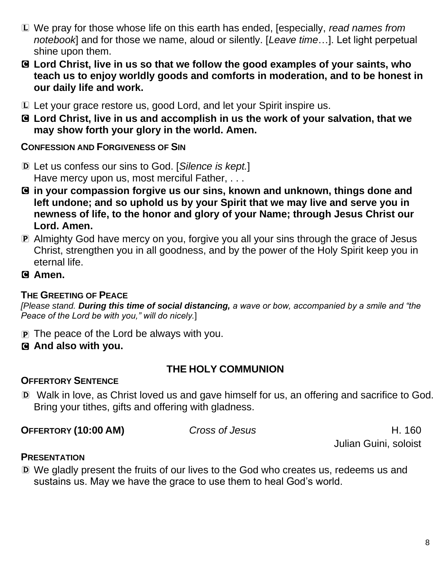- L We pray for those whose life on this earth has ended, [especially, *read names from notebook*] and for those we name, aloud or silently. [*Leave time*…]. Let light perpetual shine upon them.
- C **Lord Christ, live in us so that we follow the good examples of your saints, who teach us to enjoy worldly goods and comforts in moderation, and to be honest in our daily life and work.**
- L Let your grace restore us, good Lord, and let your Spirit inspire us.
- C **Lord Christ, live in us and accomplish in us the work of your salvation, that we may show forth your glory in the world. Amen.**

#### **CONFESSION AND FORGIVENESS OF SIN**

- D Let us confess our sins to God. [*Silence is kept.*] Have mercy upon us, most merciful Father, . . .
- C **in your compassion forgive us our sins, known and unknown, things done and left undone; and so uphold us by your Spirit that we may live and serve you in newness of life, to the honor and glory of your Name; through Jesus Christ our Lord. Amen.**
- **P** Almighty God have mercy on you, forgive you all your sins through the grace of Jesus Christ, strengthen you in all goodness, and by the power of the Holy Spirit keep you in eternal life.
- C **Amen.**

# **THE GREETING OF PEACE**

*[Please stand. During this time of social distancing, a wave or bow, accompanied by a smile and "the Peace of the Lord be with you," will do nicely.*]

- P The peace of the Lord be always with you.
- C **And also with you.**

# **THE HOLY COMMUNION**

#### **OFFERTORY SENTENCE**

D Walk in love, as Christ loved us and gave himself for us, an offering and sacrifice to God. Bring your tithes, gifts and offering with gladness.

**OFFERTORY (10:00 AM)** *Cross of Jesus* H. 160

Julian Guini, soloist

#### **PRESENTATION**

D We gladly present the fruits of our lives to the God who creates us, redeems us and sustains us. May we have the grace to use them to heal God's world.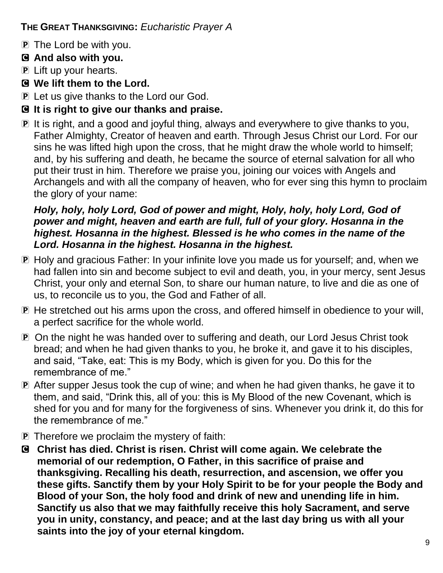**THE GREAT THANKSGIVING:** *Eucharistic Prayer A*

P The Lord be with you.

# C **And also with you.**

- P Lift up your hearts.
- C **We lift them to the Lord.**
- **P** Let us give thanks to the Lord our God.
- C **It is right to give our thanks and praise.**
- P It is right, and a good and joyful thing, always and everywhere to give thanks to you, Father Almighty, Creator of heaven and earth. Through Jesus Christ our Lord. For our sins he was lifted high upon the cross, that he might draw the whole world to himself; and, by his suffering and death, he became the source of eternal salvation for all who put their trust in him. Therefore we praise you, joining our voices with Angels and Archangels and with all the company of heaven, who for ever sing this hymn to proclaim the glory of your name:

#### *Holy, holy, holy Lord, God of power and might, Holy, holy, holy Lord, God of power and might, heaven and earth are full, full of your glory. Hosanna in the highest. Hosanna in the highest. Blessed is he who comes in the name of the Lord. Hosanna in the highest. Hosanna in the highest.*

- P Holy and gracious Father: In your infinite love you made us for yourself; and, when we had fallen into sin and become subject to evil and death, you, in your mercy, sent Jesus Christ, your only and eternal Son, to share our human nature, to live and die as one of us, to reconcile us to you, the God and Father of all.
- P He stretched out his arms upon the cross, and offered himself in obedience to your will, a perfect sacrifice for the whole world.
- P On the night he was handed over to suffering and death, our Lord Jesus Christ took bread; and when he had given thanks to you, he broke it, and gave it to his disciples, and said, "Take, eat: This is my Body, which is given for you. Do this for the remembrance of me."
- P After supper Jesus took the cup of wine; and when he had given thanks, he gave it to them, and said, "Drink this, all of you: this is My Blood of the new Covenant, which is shed for you and for many for the forgiveness of sins. Whenever you drink it, do this for the remembrance of me."
- P Therefore we proclaim the mystery of faith:
- C **Christ has died. Christ is risen. Christ will come again. We celebrate the memorial of our redemption, O Father, in this sacrifice of praise and thanksgiving. Recalling his death, resurrection, and ascension, we offer you these gifts. Sanctify them by your Holy Spirit to be for your people the Body and Blood of your Son, the holy food and drink of new and unending life in him. Sanctify us also that we may faithfully receive this holy Sacrament, and serve you in unity, constancy, and peace; and at the last day bring us with all your saints into the joy of your eternal kingdom.**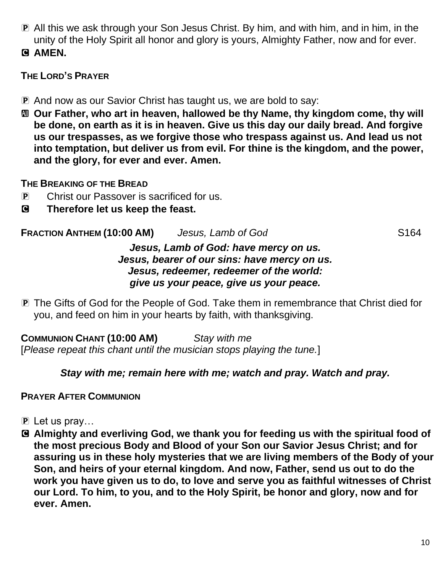- P All this we ask through your Son Jesus Christ. By him, and with him, and in him, in the unity of the Holy Spirit all honor and glory is yours, Almighty Father, now and for ever.
- C **AMEN.**

# **THE LORD'S PRAYER**

- **P** And now as our Savior Christ has taught us, we are bold to say:
- $\text{I}$  **Our Father, who art in heaven, hallowed be thy Name, thy kingdom come, thy will be done, on earth as it is in heaven. Give us this day our daily bread. And forgive us our trespasses, as we forgive those who trespass against us. And lead us not into temptation, but deliver us from evil. For thine is the kingdom, and the power, and the glory, for ever and ever. Amen.**

#### **THE BREAKING OF THE BREAD**

- P Christ our Passover is sacrificed for us.
- C **Therefore let us keep the feast.**

**FRACTION ANTHEM (10:00 AM)** *Jesus, Lamb of God* S164

#### *Jesus, Lamb of God: have mercy on us. Jesus, bearer of our sins: have mercy on us. Jesus, redeemer, redeemer of the world: give us your peace, give us your peace.*

**P** The Gifts of God for the People of God. Take them in remembrance that Christ died for you, and feed on him in your hearts by faith, with thanksgiving.

**COMMUNION CHANT (10:00 AM)** *Stay with me* [*Please repeat this chant until the musician stops playing the tune.*]

# *Stay with me; remain here with me; watch and pray. Watch and pray.*

# **PRAYER AFTER COMMUNION**

- P Let us pray…
- C **Almighty and everliving God, we thank you for feeding us with the spiritual food of the most precious Body and Blood of your Son our Savior Jesus Christ; and for assuring us in these holy mysteries that we are living members of the Body of your Son, and heirs of your eternal kingdom. And now, Father, send us out to do the work you have given us to do, to love and serve you as faithful witnesses of Christ our Lord. To him, to you, and to the Holy Spirit, be honor and glory, now and for ever. Amen.**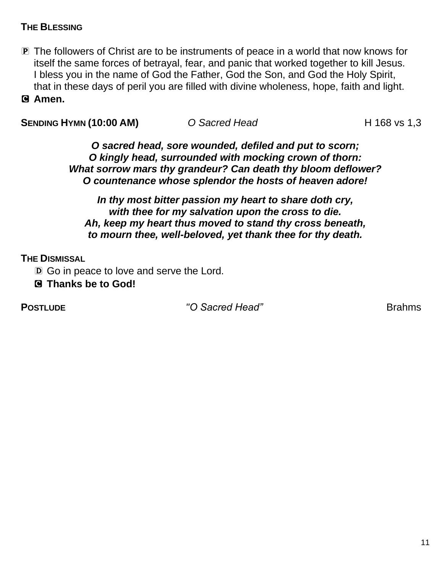#### **THE BLESSING**

- P The followers of Christ are to be instruments of peace in a world that now knows for itself the same forces of betrayal, fear, and panic that worked together to kill Jesus. I bless you in the name of God the Father, God the Son, and God the Holy Spirit, that in these days of peril you are filled with divine wholeness, hope, faith and light.
- C **Amen.**

**SENDING HYMN (10:00 AM)** *O Sacred Head* **H** 168 vs 1,3

*O sacred head, sore wounded, defiled and put to scorn; O kingly head, surrounded with mocking crown of thorn: What sorrow mars thy grandeur? Can death thy bloom deflower? O countenance whose splendor the hosts of heaven adore!*

*In thy most bitter passion my heart to share doth cry, with thee for my salvation upon the cross to die. Ah, keep my heart thus moved to stand thy cross beneath, to mourn thee, well-beloved, yet thank thee for thy death.*

#### **THE DISMISSAL**

D Go in peace to love and serve the Lord.

C **Thanks be to God!**

**POSTLUDE** *POSTLUDE POSTLUDE Brahms*